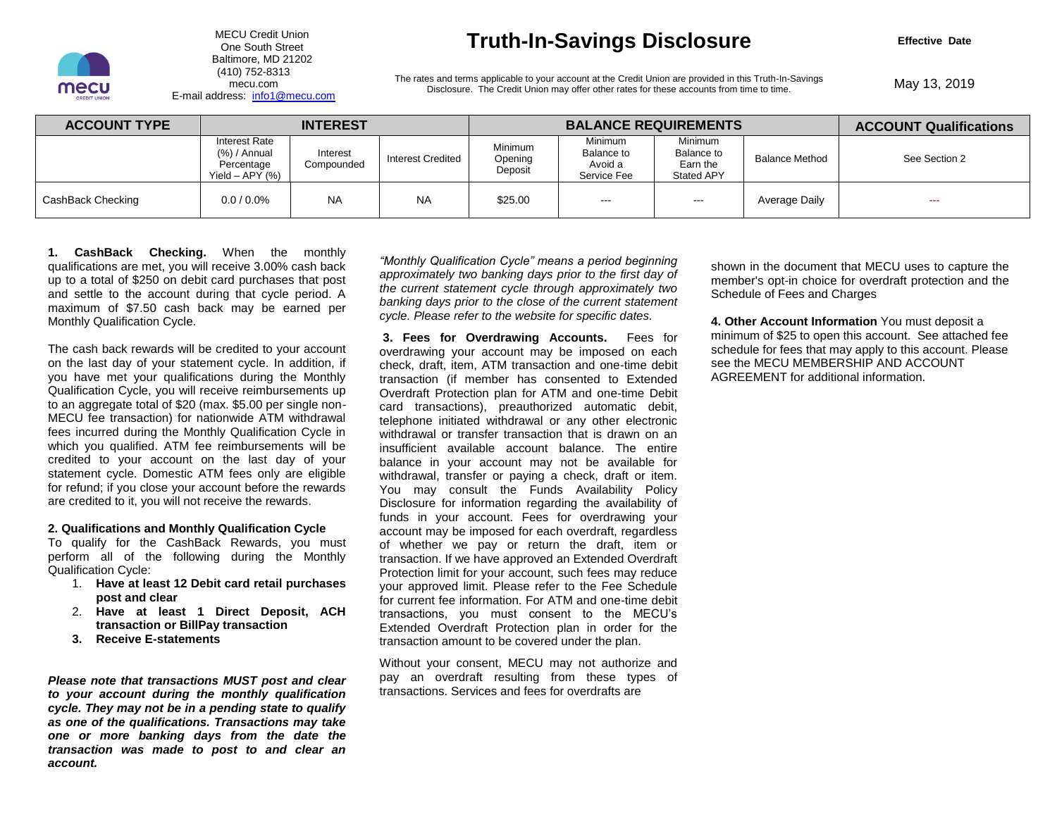

 Baltimore, MD 21202 E-mail address: info1@mecu.com

### MECU Credit Union **Truth-In-Savings Disclosure -** One South Street

**Effective Date** 

Disclosure. The Credit Union may offer other rates for these accounts from time to time. (410) 752-8313<br>The rates and terms applicable to your account at the Credit Union are provided in this Truth-In-Savings<br>Disclosure. The Credit Union may offer other rates for these accounts from time to time

| <b>ACCOUNT TYPE</b> | <b>INTEREST</b>                                                       |                        |                          | <b>BALANCE REQUIREMENTS</b>          |                                                 |                                                               |                       | <b>ACCOUNT Qualifications</b> |
|---------------------|-----------------------------------------------------------------------|------------------------|--------------------------|--------------------------------------|-------------------------------------------------|---------------------------------------------------------------|-----------------------|-------------------------------|
|                     | <b>Interest Rate</b><br>(%) / Annual<br>Percentage<br>Yield – APY (%) | Interest<br>Compounded | <b>Interest Credited</b> | <b>Minimum</b><br>Opening<br>Deposit | Minimum<br>Balance to<br>Avoid a<br>Service Fee | <b>Minimum</b><br>Balance to<br>Earn the<br><b>Stated APY</b> | <b>Balance Method</b> | See Section 2                 |
| CashBack Checking   | $0.0 / 0.0\%$                                                         | <b>NA</b>              | <b>NA</b>                | \$25.00                              | $\sim$ $\sim$                                   | $--$                                                          | Average Daily         | $\sim$ $\sim$                 |

 **1. CashBack Checking.** When the monthly qualifications are met, you will receive 3.00% cash back up to a total of \$250 on debit card purchases that post and settle to the account during that cycle period. A maximum of \$7.50 cash back may be earned per Monthly Qualification Cycle.

 The cash back rewards will be credited to your account on the last day of your statement cycle. In addition, if you have met your qualifications during the Monthly Qualification Cycle, you will receive reimbursements up to an aggregate total of \$20 (max. \$5.00 per single non- MECU fee transaction) for nationwide ATM withdrawal fees incurred during the Monthly Qualification Cycle in which you qualified. ATM fee reimbursements will be credited to your account on the last day of your statement cycle. Domestic ATM fees only are eligible for refund; if you close your account before the rewards are credited to it, you will not receive the rewards.

#### **2. Qualifications and Monthly Qualification Cycle**

 To qualify for the CashBack Rewards, you must perform all of the following during the Monthly Qualification Cycle:

- 1. **Have at least 12 Debit card retail purchases post and clear**
- 2. **Have at least 1 Direct Deposit, ACH transaction or BillPay transaction**
- **3. Receive E-statements**

 *Please note that transactions MUST post and clear to your account during the monthly qualification cycle. They may not be in a pending state to qualify as one of the qualifications. Transactions may take one or more banking days from the date the transaction was made to post to and clear an*  account.

"Monthly Qualification Cycle" means a period beginning  *approximately two banking days prior to the first day of the current statement cycle through approximately two banking days prior to the close of the current statement cycle. Please refer to the website for specific dates.* 

 **3. Fees for Overdrawing Accounts.** Fees for overdrawing your account may be imposed on each check, draft, item, ATM transaction and one-time debit transaction (if member has consented to Extended Overdraft Protection plan for ATM and one-time Debit card transactions), preauthorized automatic debit, telephone initiated withdrawal or any other electronic withdrawal or transfer transaction that is drawn on an insufficient available account balance. The entire balance in your account may not be available for withdrawal, transfer or paying a check, draft or item. You may consult the Funds Availability Policy Disclosure for information regarding the availability of funds in your account. Fees for overdrawing your account may be imposed for each overdraft, regardless of whether we pay or return the draft, item or Protection limit for your account, such fees may reduce your approved limit. Please refer to the Fee Schedule for current fee information. For ATM and one-time debit transactions, you must consent to the MECU's Extended Overdraft Protection plan in order for the **qualifications are meat you will receive 3.00% ceach back (***Monthly* **Qualification Cycle" means a period beginning<br>that cycles are meat the second during that cycle period. A the current statement cycle through approximat** transaction. If we have approved an Extended Overdraft transaction amount to be covered under the plan.

 Without your consent, MECU may not authorize and pay an overdraft resulting from these types of transactions. Services and fees for overdrafts are

 shown in the document that MECU uses to capture the member's opt-in choice for overdraft protection and the Schedule of Fees and Charges

 minimum of \$25 to open this account. See attached fee **4. Other Account Information** You must deposit a schedule for fees that may apply to this account. Please see the MECU MEMBERSHIP AND ACCOUNT AGREEMENT for additional information.